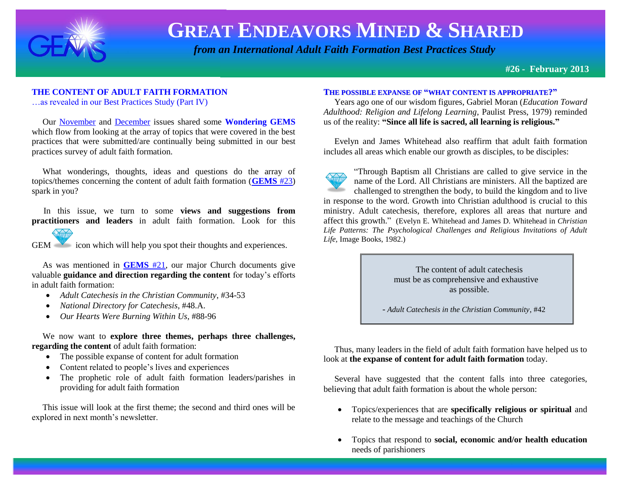

# **GREAT ENDEAVORS MINED & SHARED**

 *from an International Adult Faith Formation Best Practices Study*

**#26 - February 2013**

### **THE CONTENT OF ADULT FAITH FORMATION**

…as revealed in our Best Practices Study (Part IV)

 Our [November](http://www.janetschaeffler.com/Best-Practices.html) and [December](http://www.janetschaeffler.com/Best-Practices.html) issues shared some **Wondering GEMS** which flow from looking at the array of topics that were covered in the best practices that were submitted/are continually being submitted in our best practices survey of adult faith formation.

What wonderings, thoughts, ideas and questions do the array of topics/themes concerning the content of adult faith formation (**[GEMS](http://www.janetschaeffler.com/Best-Practices.html)** #23) spark in you?

 In this issue, we turn to some **views and suggestions from practitioners and leaders** in adult faith formation. Look for this



GEM icon which will help you spot their thoughts and experiences.

 As was mentioned in **[GEMS](http://www.janetschaeffler.com/Best-Practices.html)** #21, our major Church documents give valuable **guidance and direction regarding the content** for today's efforts in adult faith formation:

- *Adult Catechesis in the Christian Community*, #34-53
- *National Directory for Catechesis*, #48.A.
- *Our Hearts Were Burning Within Us*, #88-96

 We now want to **explore three themes, perhaps three challenges, regarding the content** of adult faith formation:

- The possible expanse of content for adult formation
- Content related to people's lives and experiences
- The prophetic role of adult faith formation leaders/parishes in providing for adult faith formation

 This issue will look at the first theme; the second and third ones will be explored in next month's newsletter.

#### **THE POSSIBLE EXPANSE OF "WHAT CONTENT IS APPROPRIATE?"**

 Years ago one of our wisdom figures, Gabriel Moran (*Education Toward Adulthood: Religion and Lifelong Learning*, Paulist Press, 1979) reminded us of the reality: **"Since all life is sacred, all learning is religious."**

 Evelyn and James Whitehead also reaffirm that adult faith formation includes all areas which enable our growth as disciples, to be disciples:

"Through Baptism all Christians are called to give service in the name of the Lord. All Christians are ministers. All the baptized are challenged to strengthen the body, to build the kingdom and to live in response to the word. Growth into Christian adulthood is crucial to this ministry. Adult catechesis, therefore, explores all areas that nurture and affect this growth." (Evelyn E. Whitehead and James D. Whitehead in *Christian Life Patterns: The Psychological Challenges and Religious Invitations of Adult Life,* Image Books, 1982.)

> The content of adult catechesis must be as comprehensive and exhaustive as possible.

- *Adult Catechesis in the Christian Community*, #42

 Thus, many leaders in the field of adult faith formation have helped us to look at **the expanse of content for adult faith formation** today.

 Several have suggested that the content falls into three categories, believing that adult faith formation is about the whole person:

- Topics/experiences that are **specifically religious or spiritual** and relate to the message and teachings of the Church
- Topics that respond to **social, economic and/or health education** needs of parishioners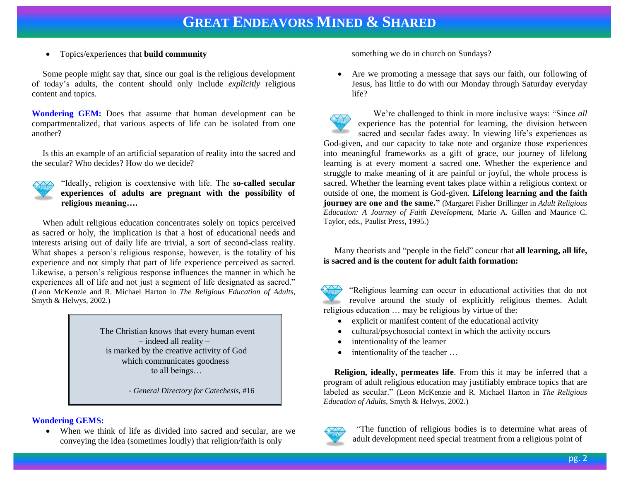Topics/experiences that **build community**

 Some people might say that, since our goal is the religious development of today's adults, the content should only include *explicitly* religious content and topics.

**Wondering GEM:** Does that assume that human development can be compartmentalized, that various aspects of life can be isolated from one another?

 Is this an example of an artificial separation of reality into the sacred and the secular? Who decides? How do we decide?



"Ideally, religion is coextensive with life. The **so-called secular experiences of adults are pregnant with the possibility of religious meaning….**

 When adult religious education concentrates solely on topics perceived as sacred or holy, the implication is that a host of educational needs and interests arising out of daily life are trivial, a sort of second-class reality. What shapes a person's religious response, however, is the totality of his experience and not simply that part of life experience perceived as sacred. Likewise, a person's religious response influences the manner in which he experiences all of life and not just a segment of life designated as sacred." (Leon McKenzie and R. Michael Harton in *The Religious Education of Adults,* Smyth & Helwys, 2002.)

> The Christian knows that every human event – indeed all reality – is marked by the creative activity of God which communicates goodness to all beings…

> > - *General Directory for Catechesis*, #16

### **Wondering GEMS:**

 When we think of life as divided into sacred and secular, are we conveying the idea (sometimes loudly) that religion/faith is only

something we do in church on Sundays?

 Are we promoting a message that says our faith, our following of Jesus, has little to do with our Monday through Saturday everyday life?

 We're challenged to think in more inclusive ways: "Since *all*  experience has the potential for learning, the division between sacred and secular fades away. In viewing life's experiences as God-given, and our capacity to take note and organize those experiences into meaningful frameworks as a gift of grace, our journey of lifelong learning is at every moment a sacred one. Whether the experience and struggle to make meaning of it are painful or joyful, the whole process is sacred. Whether the learning event takes place within a religious context or outside of one, the moment is God-given. **Lifelong learning and the faith journey are one and the same."** (Margaret Fisher Brillinger in *Adult Religious Education: A Journey of Faith Development*, Marie A. Gillen and Maurice C. Taylor, eds., Paulist Press, 1995.)

 Many theorists and "people in the field" concur that **all learning, all life, is sacred and is the content for adult faith formation:**

"Religious learning can occur in educational activities that do not revolve around the study of explicitly religious themes. Adult religious education … may be religious by virtue of the:

- explicit or manifest content of the educational activity
- cultural/psychosocial context in which the activity occurs
- intentionality of the learner
- intentionality of the teacher …

 **Religion, ideally, permeates life**. From this it may be inferred that a program of adult religious education may justifiably embrace topics that are labeled as secular." (Leon McKenzie and R. Michael Harton in *The Religious Education of Adults,* Smyth & Helwys, 2002.)



 "The function of religious bodies is to determine what areas of adult development need special treatment from a religious point of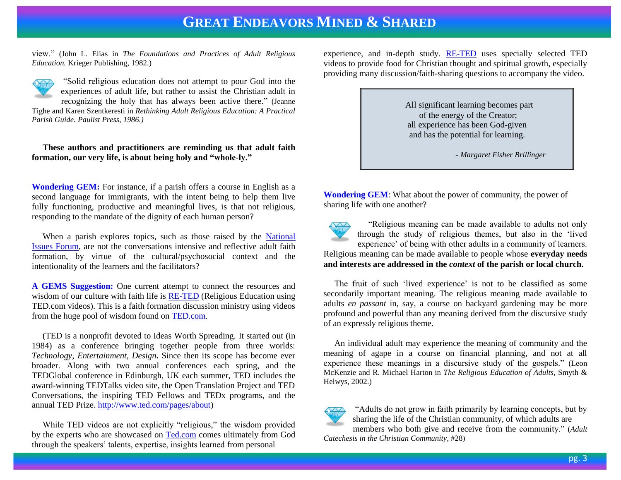### **GREAT ENDEAVORS MINED & SHARED**

view." (John L. Elias in *The Foundations and Practices of Adult Religious Education.* Krieger Publishing, 1982.)



"Solid religious education does not attempt to pour God into the experiences of adult life, but rather to assist the Christian adult in recognizing the holy that has always been active there." (Jeanne Tighe and Karen Szentkeresti in *Rethinking Adult Religious Education: A Practical Parish Guide. Paulist Press, 1986.)*

### **These authors and practitioners are reminding us that adult faith formation, our very life, is about being holy and "whole-ly."**

**Wondering GEM:** For instance, if a parish offers a course in English as a second language for immigrants, with the intent being to help them live fully functioning, productive and meaningful lives, is that not religious, responding to the mandate of the dignity of each human person?

 When a parish explores topics, such as those raised by the [National](http://nifi.org/)  [Issues Forum,](http://nifi.org/) are not the conversations intensive and reflective adult faith formation, by virtue of the cultural/psychosocial context and the intentionality of the learners and the facilitators?

**A GEMS Suggestion:** One current attempt to connect the resources and wisdom of our culture with faith life is **RE-TED** (Religious Education using TED.com videos). This is a faith formation discussion ministry using videos from the huge pool of wisdom found on [TED.com.](http://www.ted.com/)

 (TED is a nonprofit devoted to Ideas Worth Spreading. It started out (in 1984) as a conference bringing together people from three worlds: *Technology, Entertainment, Design***.** Since then its scope has become ever broader. Along with two annual conferences each spring, and the TEDGlobal conference in Edinburgh, UK each summer, TED includes the award-winning TEDTalks video site, the Open Translation Project and TED Conversations, the inspiring TED Fellows and TEDx programs, and the annual TED Prize. [http://www.ted.com/pages/about\)](http://www.ted.com/pages/about)

 While TED videos are not explicitly "religious," the wisdom provided by the experts who are showcased on [Ted.com](http://www.ted.com/) comes ultimately from God through the speakers' talents, expertise, insights learned from personal

experience, and in-depth study. [RE-TED](http://gnmforum.blogspot.com/) uses specially selected TED videos to provide food for Christian thought and spiritual growth, especially providing many discussion/faith-sharing questions to accompany the video.



**Wondering GEM**: What about the power of community, the power of sharing life with one another?

 "Religious meaning can be made available to adults not only through the study of religious themes, but also in the 'lived experience' of being with other adults in a community of learners. Religious meaning can be made available to people whose **everyday needs and interests are addressed in the** *context* **of the parish or local church.** 

 The fruit of such 'lived experience' is not to be classified as some secondarily important meaning. The religious meaning made available to adults *en passant* in, say, a course on backyard gardening may be more profound and powerful than any meaning derived from the discursive study of an expressly religious theme.

 An individual adult may experience the meaning of community and the meaning of agape in a course on financial planning, and not at all experience these meanings in a discursive study of the gospels." (Leon McKenzie and R. Michael Harton in *The Religious Education of Adults,* Smyth & Helwys, 2002.)



"Adults do not grow in faith primarily by learning concepts, but by sharing the life of the Christian community, of which adults are

members who both give and receive from the community." (*Adult Catechesis in the Christian Community*, #28)